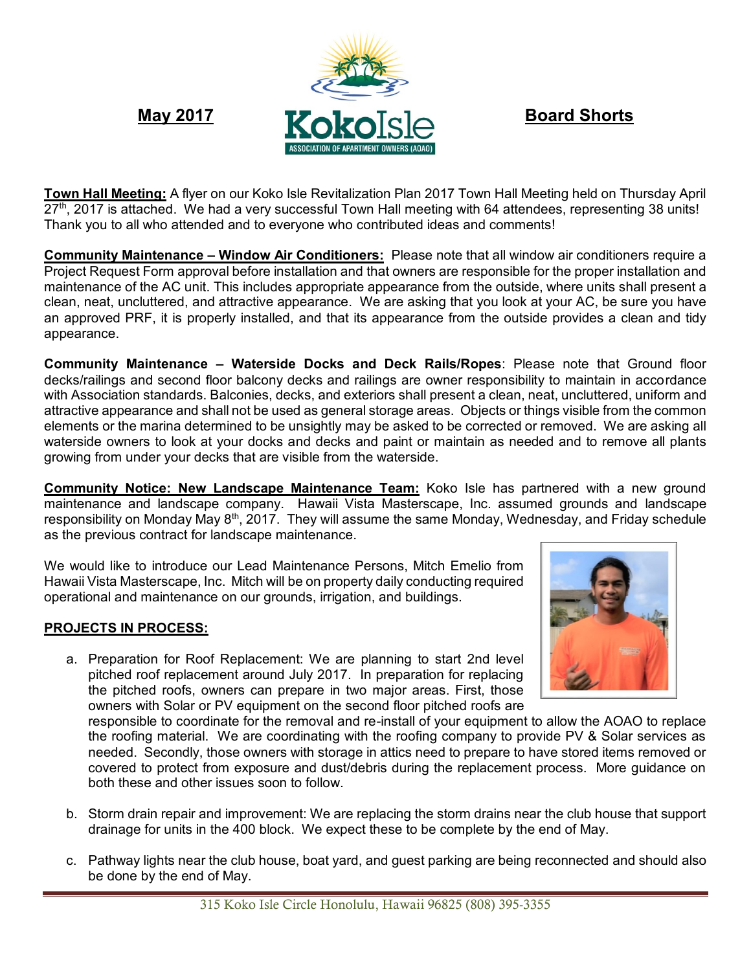

**Town Hall Meeting:** A flyer on our Koko Isle Revitalization Plan 2017 Town Hall Meeting held on Thursday April 27<sup>th</sup>, 2017 is attached. We had a very successful Town Hall meeting with 64 attendees, representing 38 units! Thank you to all who attended and to everyone who contributed ideas and comments!

**Community Maintenance – Window Air Conditioners:** Please note that all window air conditioners require a Project Request Form approval before installation and that owners are responsible for the proper installation and maintenance of the AC unit. This includes appropriate appearance from the outside, where units shall present a clean, neat, uncluttered, and attractive appearance. We are asking that you look at your AC, be sure you have an approved PRF, it is properly installed, and that its appearance from the outside provides a clean and tidy appearance.

**Community Maintenance – Waterside Docks and Deck Rails/Ropes**: Please note that Ground floor decks/railings and second floor balcony decks and railings are owner responsibility to maintain in accordance with Association standards. Balconies, decks, and exteriors shall present a clean, neat, uncluttered, uniform and attractive appearance and shall not be used as general storage areas. Objects or things visible from the common elements or the marina determined to be unsightly may be asked to be corrected or removed. We are asking all waterside owners to look at your docks and decks and paint or maintain as needed and to remove all plants growing from under your decks that are visible from the waterside.

**Community Notice: New Landscape Maintenance Team:** Koko Isle has partnered with a new ground maintenance and landscape company. Hawaii Vista Masterscape, Inc. assumed grounds and landscape responsibility on Monday May  $8<sup>th</sup>$ , 2017. They will assume the same Monday, Wednesday, and Friday schedule as the previous contract for landscape maintenance.

We would like to introduce our Lead Maintenance Persons, Mitch Emelio from Hawaii Vista Masterscape, Inc. Mitch will be on property daily conducting required operational and maintenance on our grounds, irrigation, and buildings.

## **PROJECTS IN PROCESS:**

a. Preparation for Roof Replacement: We are planning to start 2nd level pitched roof replacement around July 2017. In preparation for replacing the pitched roofs, owners can prepare in two major areas. First, those owners with Solar or PV equipment on the second floor pitched roofs are

responsible to coordinate for the removal and re-install of your equipment to allow the AOAO to replace the roofing material. We are coordinating with the roofing company to provide PV & Solar services as needed. Secondly, those owners with storage in attics need to prepare to have stored items removed or covered to protect from exposure and dust/debris during the replacement process. More guidance on both these and other issues soon to follow.

- b. Storm drain repair and improvement: We are replacing the storm drains near the club house that support drainage for units in the 400 block. We expect these to be complete by the end of May.
- c. Pathway lights near the club house, boat yard, and guest parking are being reconnected and should also be done by the end of May.